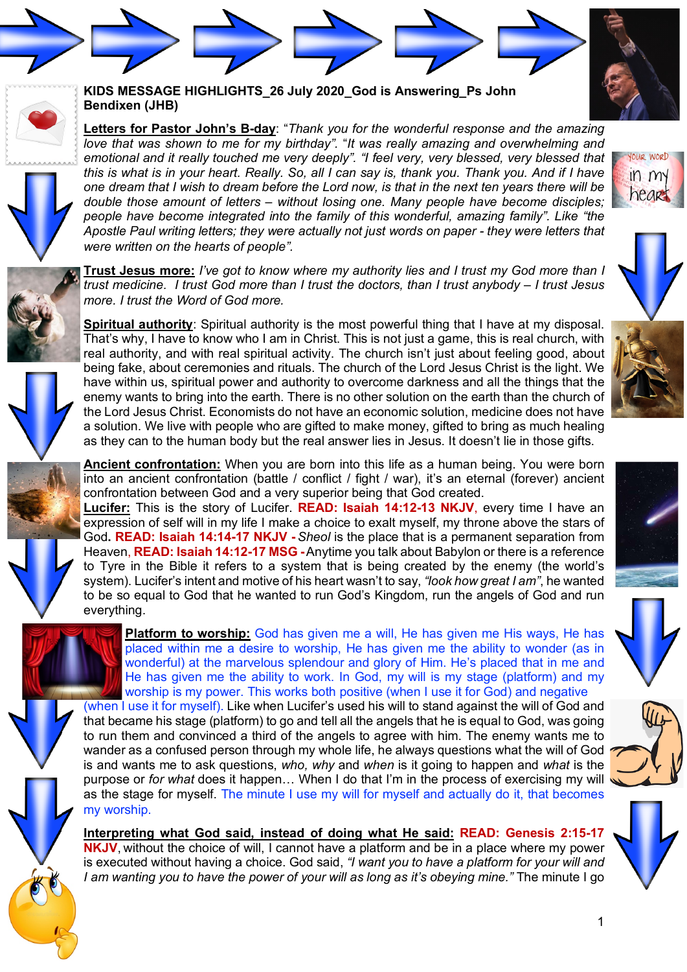



## **KIDS MESSAGE HIGHLIGHTS\_26 July 2020\_God is Answering\_Ps John Bendixen (JHB)**

**Letters for Pastor John's B-day**: "*Thank you for the wonderful response and the amazing love that was shown to me for my birthday".* "*It was really amazing and overwhelming and emotional and it really touched me very deeply". "I feel very, very blessed, very blessed that this is what is in your heart. Really. So, all I can say is, thank you. Thank you. And if I have one dream that I wish to dream before the Lord now, is that in the next ten years there will be double those amount of letters – without losing one. Many people have become disciples; people have become integrated into the family of this wonderful, amazing family". Like "the Apostle Paul writing letters; they were actually not just words on paper - they were letters that were written on the hearts of people".* 

**Trust Jesus more:** *I've got to know where my authority lies and I trust my God more than I trust medicine. I trust God more than I trust the doctors, than I trust anybody – I trust Jesus more. I trust the Word of God more.*



**Ancient confrontation:** When you are born into this life as a human being. You were born into an ancient confrontation (battle / conflict / fight / war), it's an eternal (forever) ancient confrontation between God and a very superior being that God created.

**Lucifer:** This is the story of Lucifer. **READ: Isaiah 14:12-13 NKJV**, every time I have an expression of self will in my life I make a choice to exalt myself, my throne above the stars of God**. READ: Isaiah 14:14-17 NKJV -** *Sheol* is the place that is a permanent separation from Heaven, **READ: Isaiah 14:12-17 MSG -**Anytime you talk about Babylon or there is a reference to Tyre in the Bible it refers to a system that is being created by the enemy (the world's system). Lucifer's intent and motive of his heart wasn't to say, *"look how great I am"*, he wanted to be so equal to God that he wanted to run God's Kingdom, run the angels of God and run everything.

**Platform to worship:** God has given me a will, He has given me His ways, He has placed within me a desire to worship, He has given me the ability to wonder (as in wonderful) at the marvelous splendour and glory of Him. He's placed that in me and He has given me the ability to work. In God, my will is my stage (platform) and my worship is my power. This works both positive (when I use it for God) and negative

(when I use it for myself). Like when Lucifer's used his will to stand against the will of God and that became his stage (platform) to go and tell all the angels that he is equal to God, was going to run them and convinced a third of the angels to agree with him. The enemy wants me to wander as a confused person through my whole life, he always questions what the will of God is and wants me to ask questions, *who, why* and *when* is it going to happen and *what* is the purpose or *for what* does it happen… When I do that I'm in the process of exercising my will as the stage for myself. The minute I use my will for myself and actually do it, that becomes my worship.

**Interpreting what God said, instead of doing what He said: READ: Genesis 2:15-17 NKJV**, without the choice of will, I cannot have a platform and be in a place where my power is executed without having a choice. God said, *"I want you to have a platform for your will and I am wanting you to have the power of your will as long as it's obeying mine."* The minute I go